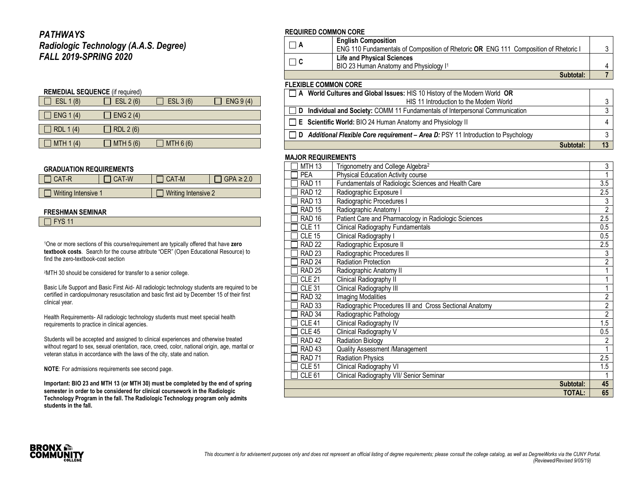### *PATHWAYS Radiologic Technology (A.A.S. Degree) FALL 2019-SPRING 2020*

| <b>REMEDIAL SEQUENCE</b> (if required) |            |           |          |  |  |  |
|----------------------------------------|------------|-----------|----------|--|--|--|
| ESL 1 (8)                              | ESL 2 (6)  | ESL 3 (6) | ENG 9(4) |  |  |  |
|                                        |            |           |          |  |  |  |
| ] ENG 1 (4)                            | ENG $2(4)$ |           |          |  |  |  |
|                                        |            |           |          |  |  |  |
| RDL 1(4)                               | RDL 2 (6)  |           |          |  |  |  |
|                                        |            |           |          |  |  |  |
| MTH 1 (4)                              | MTH 5 (6)  | MTH 6 (6) |          |  |  |  |

#### **GRADUATION REQUIREMENTS**

| I CAT-R             | CAT-W | CAT-M               | $GPA \geq 2.0$ |
|---------------------|-------|---------------------|----------------|
| Writing Intensive 1 |       | Writing Intensive 2 |                |

#### **FRESHMAN SEMINAR**

<sup>1</sup>One or more sections of this course/requirement are typically offered that have **zero textbook costs**. Search for the course attribute "OER" (Open Educational Resource) to find the zero-textbook-cost section

<sup>2</sup>MTH 30 should be considered for transfer to a senior college.

Basic Life Support and Basic First Aid- All radiologic technology students are required to be certified in cardiopulmonary resuscitation and basic first aid by December 15 of their first clinical year.

Health Requirements- All radiologic technology students must meet special health requirements to practice in clinical agencies.

Students will be accepted and assigned to clinical experiences and otherwise treated without regard to sex, sexual orientation, race, creed, color, national origin, age, marital or veteran status in accordance with the laws of the city, state and nation.

**NOTE**: For admissions requirements see second page.

**Important: BIO 23 and MTH 13 (or MTH 30) must be completed by the end of spring semester in order to be considered for clinical coursework in the Radiologic Technology Program in the fall. The Radiologic Technology program only admits students in the fall.**

#### **REQUIRED COMMON CORE**

|                                                 | <b>English Composition</b>                                                           |  |  |
|-------------------------------------------------|--------------------------------------------------------------------------------------|--|--|
|                                                 | ENG 110 Fundamentals of Composition of Rhetoric OR ENG 111 Composition of Rhetoric I |  |  |
| $\vert$ $\vert$ C                               | <b>Life and Physical Sciences</b>                                                    |  |  |
|                                                 | BIO 23 Human Anatomy and Physiology I <sup>1</sup>                                   |  |  |
|                                                 | Subtotal:                                                                            |  |  |
| <b>FLEXIBLE COMMON CORE</b>                     |                                                                                      |  |  |
|                                                 | A World Cultures and Global Issues: HIS 10 History of the Modern World OR            |  |  |
| <b>LIC 11 Introduction to the Medern Weddel</b> |                                                                                      |  |  |

| HIS 11 Introduction to the Modern World                                                   |    |
|-------------------------------------------------------------------------------------------|----|
| <b>D</b> Individual and Society: COMM 11 Fundamentals of Interpersonal Communication      | -2 |
| $\Box$ <b>E</b> Scientific World: BIO 24 Human Anatomy and Physiology II                  | 4  |
| $\Box$ D Additional Flexible Core requirement – Area D: PSY 11 Introduction to Psychology |    |
| Subtotal:                                                                                 | 13 |

#### **MAJOR REQUIREMENTS**

|                   | <b>TOTAL:</b>                                           | 65             |
|-------------------|---------------------------------------------------------|----------------|
|                   | Subtotal:                                               | 45             |
| CLE <sub>61</sub> | Clinical Radiography VII/ Senior Seminar                |                |
| <b>CLE 51</b>     | Clinical Radiography VI                                 | 1.5            |
| <b>RAD 71</b>     | <b>Radiation Physics</b>                                | 2.5            |
| RAD <sub>43</sub> | Quality Assessment /Management                          | 1              |
| <b>RAD 42</b>     | <b>Radiation Biology</b>                                | 2              |
| <b>CLE 45</b>     | Clinical Radiography V                                  | 0.5            |
| <b>CLE 41</b>     | Clinical Radiography IV                                 | 1.5            |
| RAD 34            | Radiographic Pathology                                  | $\overline{2}$ |
| <b>RAD 33</b>     | Radiographic Procedures III and Cross Sectional Anatomy | $\overline{2}$ |
| <b>RAD 32</b>     | <b>Imaging Modalities</b>                               | $\overline{2}$ |
| <b>CLE 31</b>     | Clinical Radiography III                                | 1              |
| <b>CLE 21</b>     | Clinical Radiography II                                 |                |
| <b>RAD 25</b>     | Radiographic Anatomy II                                 |                |
| RAD <sub>24</sub> | <b>Radiation Protection</b>                             | 2              |
| <b>RAD 23</b>     | Radiographic Procedures II                              | 3              |
| <b>RAD 22</b>     | Radiographic Exposure II                                | 2.5            |
| <b>CLE 15</b>     | Clinical Radiography I                                  | 0.5            |
| <b>CLE 11</b>     | <b>Clinical Radiography Fundamentals</b>                | 0.5            |
| <b>RAD 16</b>     | Patient Care and Pharmacology in Radiologic Sciences    | 2.5            |
| <b>RAD 15</b>     | Radiographic Anatomy I                                  | $\overline{2}$ |
| <b>RAD 13</b>     | Radiographic Procedures I                               | 3              |
| <b>RAD 12</b>     | Radiographic Exposure I                                 | 2.5            |
| <b>RAD 11</b>     | Fundamentals of Radiologic Sciences and Health Care     | 3.5            |
| <b>PEA</b>        | Physical Education Activity course                      | 1              |
| <b>MTH 13</b>     | Trigonometry and College Algebra <sup>2</sup>           | 3              |